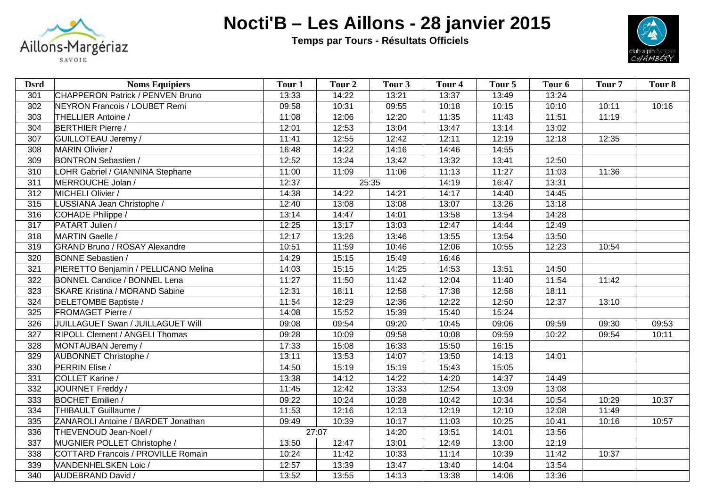

## **Nocti'B – Les Aillons - 28 janvier 2015**

 **Temps par Tours - Résultats Officiels**



| <b>Dsrd</b>     | <b>Noms Equipiers</b>                   | Tour <sub>1</sub> | Tour <sub>2</sub> | Tour <sub>3</sub> | Tour <sub>4</sub> | Tour 5 | Tour 6 | Tour <sub>7</sub> | Tour <sub>8</sub> |
|-----------------|-----------------------------------------|-------------------|-------------------|-------------------|-------------------|--------|--------|-------------------|-------------------|
| 301             | <b>CHAPPERON Patrick / PENVEN Bruno</b> | 13:33             | 14:22             | 13:21             | 13:37             | 13:49  | 13:24  |                   |                   |
| 302             | NEYRON Francois / LOUBET Remi           | 09:58             | 10:31             | 09:55             | 10:18             | 10:15  | 10:10  | 10:11             | 10:16             |
| 303             | THELLIER Antoine /                      | 11:08             | 12:06             | 12:20             | 11:35             | 11:43  | 11:51  | 11:19             |                   |
| 304             | <b>BERTHIER Pierre /</b>                | 12:01             | 12:53             | 13:04             | 13:47             | 13:14  | 13:02  |                   |                   |
| 307             | GUILLOTEAU Jeremy /                     | 11:41             | 12:55             | 12:42             | 12:11             | 12:19  | 12:18  | 12:35             |                   |
| 308             | MARIN Olivier /                         | 16:48             | 14:22             | 14:16             | 14:46             | 14:55  |        |                   |                   |
| 309             | <b>BONTRON Sebastien /</b>              | 12:52             | 13:24             | 13:42             | 13:32             | 13:41  | 12:50  |                   |                   |
| 310             | LOHR Gabriel / GIANNINA Stephane        | 11:00             | 11:09             | 11:06             | 11:13             | 11:27  | 11:03  | 11:36             |                   |
| 311             | MERROUCHE Jolan /                       | 12:37             | 25:35             |                   | 14:19             | 16:47  | 13:31  |                   |                   |
| 312             | MICHELI Olivier /                       | 14:38             | 14:22             | 14:21             | 14:17             | 14:40  | 14:45  |                   |                   |
| 315             | LUSSIANA Jean Christophe /              | 12:40             | 13:08             | 13:08             | 13:07             | 13:26  | 13:18  |                   |                   |
| 316             | COHADE Philippe /                       | 13:14             | 14:47             | 14:01             | 13:58             | 13:54  | 14:28  |                   |                   |
| 317             | PATART Julien /                         | 12:25             | 13:17             | 13:03             | 12:47             | 14:44  | 12:49  |                   |                   |
| 318             | MARTIN Gaelle /                         | 12:17             | 13:26             | 13:46             | 13:55             | 13:54  | 13:50  |                   |                   |
| 319             | <b>GRAND Bruno / ROSAY Alexandre</b>    | 10:51             | 11:59             | 10:46             | 12:06             | 10:55  | 12:23  | 10:54             |                   |
| 320             | <b>BONNE Sebastien /</b>                | 14:29             | 15:15             | 15:49             | 16:46             |        |        |                   |                   |
| 321             | PIERETTO Benjamin / PELLICANO Melina    | 14:03             | 15:15             | 14:25             | 14:53             | 13:51  | 14:50  |                   |                   |
| 322             | <b>BONNEL Candice / BONNEL Lena</b>     | 11:27             | 11:50             | 11:42             | 12:04             | 11:40  | 11:54  | 11:42             |                   |
| 323             | <b>SKARE Kristina / MORAND Sabine</b>   | 12:31             | 18:11             | 12:58             | 17:38             | 12:58  | 18:11  |                   |                   |
| 324             | DELETOMBE Baptiste /                    | 11:54             | 12:29             | 12:36             | 12:22             | 12:50  | 12:37  | 13:10             |                   |
| 325             | <b>FROMAGET Pierre /</b>                | 14:08             | 15:52             | 15:39             | 15:40             | 15:24  |        |                   |                   |
| 326             | JUILLAGUET Swan / JUILLAGUET Will       | 09:08             | 09:54             | 09:20             | 10:45             | 09:06  | 09:59  | 09:30             | 09:53             |
| 327             | <b>RIPOLL Clement / ANGELI Thomas</b>   | 09:28             | 10:09             | 09:58             | 10:08             | 09:59  | 10:22  | 09:54             | 10:11             |
| 328             | MONTAUBAN Jeremy /                      | 17:33             | 15:08             | 16:33             | 15:50             | 16:15  |        |                   |                   |
| 329             | AUBONNET Christophe /                   | 13:11             | 13:53             | 14:07             | 13:50             | 14:13  | 14:01  |                   |                   |
| 330             | PERRIN Elise /                          | 14:50             | 15:19             | 15:19             | 15:43             | 15:05  |        |                   |                   |
| 331             | COLLET Karine /                         | 13:38             | 14:12             | 14:22             | 14:20             | 14:37  | 14:49  |                   |                   |
| $\frac{1}{332}$ | JOURNET Freddy /                        | 11:45             | 12:42             | 13:33             | 12:54             | 13:09  | 13:08  |                   |                   |
| 333             | <b>BOCHET Emilien /</b>                 | 09:22             | 10:24             | 10:28             | 10:42             | 10:34  | 10:54  | 10:29             | 10:37             |
| 334             | THIBAULT Guillaume /                    | 11:53             | 12:16             | 12:13             | 12:19             | 12:10  | 12:08  | 11:49             |                   |
| 335             | ZANAROLI Antoine / BARDET Jonathan      | 09:49             | 10:39             | 10:17             | 11:03             | 10:25  | 10:41  | 10:16             | 10:57             |
| 336             | THEVENOUD Jean-Noel /                   | 27:07             |                   | 14:20             | 13:51             | 14:01  | 13:56  |                   |                   |
| 337             | MUGNIER POLLET Christophe /             | 13:50             | 12:47             | 13:01             | 12:49             | 13:00  | 12:19  |                   |                   |
| 338             | COTTARD Francois / PROVILLE Romain      | 10:24             | 11:42             | 10:33             | 11:14             | 10:39  | 11:42  | 10:37             |                   |
| 339             | VANDENHELSKEN Loic /                    | 12:57             | 13:39             | 13:47             | 13:40             | 14:04  | 13:54  |                   |                   |
| 340             | AUDEBRAND David /                       | 13:52             | 13:55             | 14:13             | 13:38             | 14:06  | 13:36  |                   |                   |